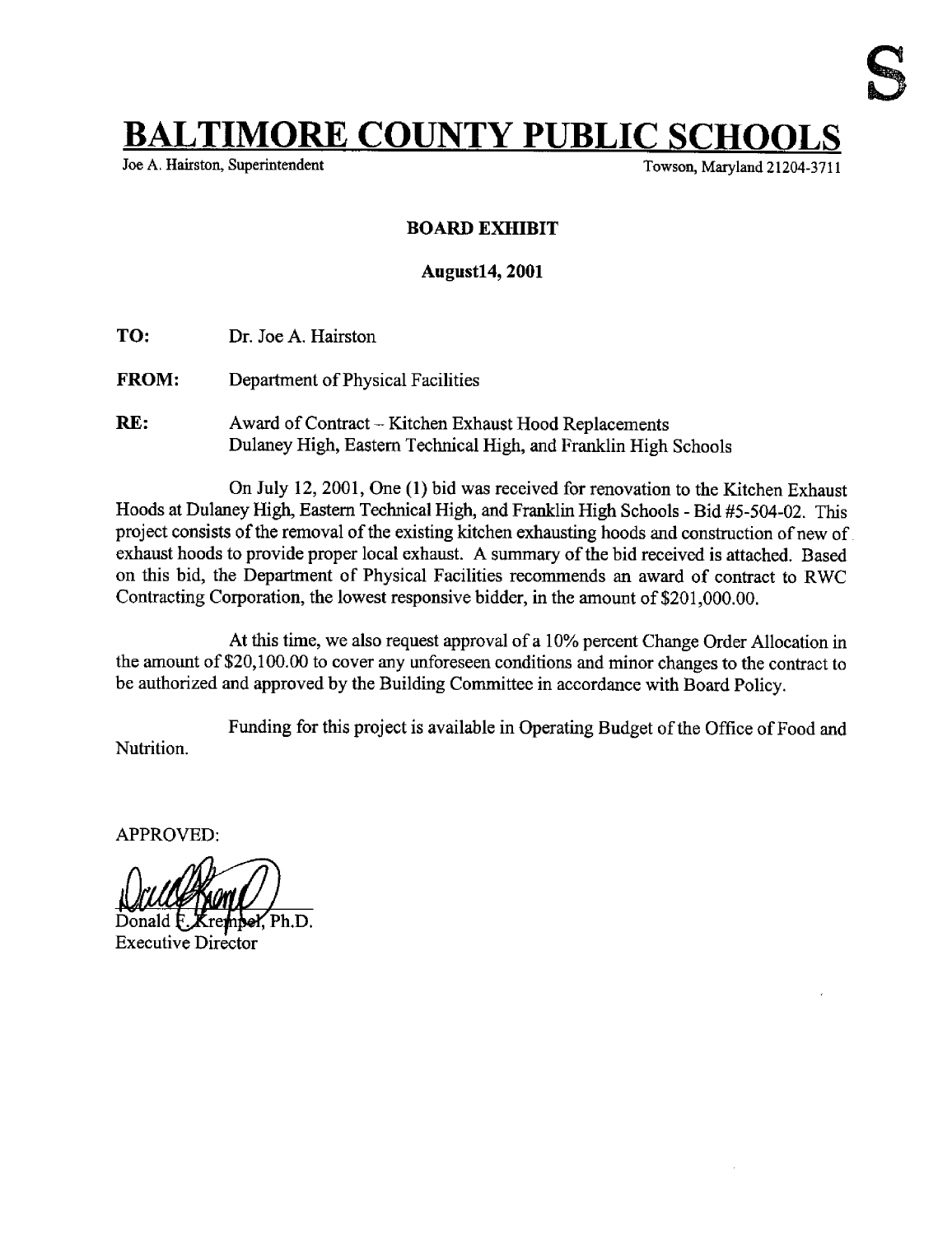## **BALTIMORE COUNTY PUBLIC SCHO**<br>Joe A. Hairston, Superintendent

Towson, Maryland 21204-3711

## BOARD EXHIBIT

## August14, 2001

- TO: Dr. Joe A. Hairston
- FROM: Department of Physical Facilities
- RE: Award of Contract -- Kitchen Exhaust Hood Replacements Dulaney High, Eastern Technical High, and Franklin High Schools

On July 12, 2001, One (1) bid was received for renovation to the Kitchen Exhaust Hoods at Dulaney High, Eastern Technical High, and Franklin High Schools - Bid #5-504-02 . This project consists of the removal of the existing kitchen exhausting hoods and construction of new of exhaust hoods to provide proper local exhaust. A summary of the bid received is attached. Based on this bid, the Department of Physical Facilities recommends an award of contract to RWC Contracting Corporation, the lowest responsive bidder, in the amount of \$201,000.00.

At this time, we also request approval of <sup>a</sup> 10% percent Change Order Allocation in the amount of \$20,100.00 to cover any unforeseen conditions and minor changes to the contract to be authorized and approved by the Building Committee in accordance with Board Policy.

Nutrition. Funding for this project is available in Operating Budget of the Office of Food and

APPROVED:

Ph.D. Donald

Executive Director